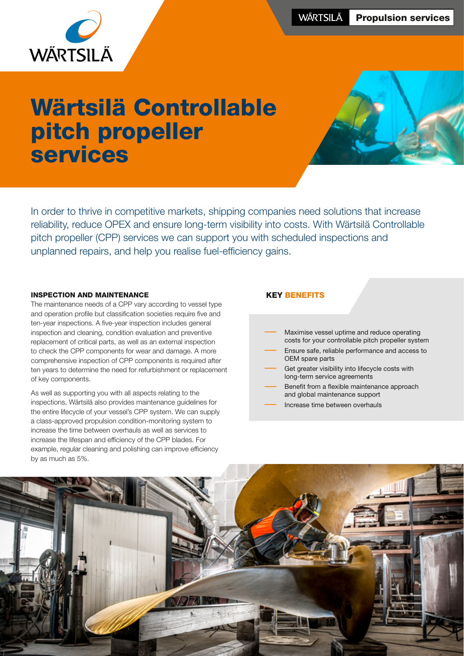

# Wärtsilä Controllable pitch propeller services



In order to thrive in competitive markets, shipping companies need solutions that increase reliability, reduce OPEX and ensure long-term visibility into costs. With Wärtsilä Controllable pitch propeller (CPP) services we can support you with scheduled inspections and unplanned repairs, and help you realise fuel-efficiency gains.

#### INSPECTION AND MAINTENANCE

The maintenance needs of a CPP vary according to vessel type and operation profile but classification societies require five and ten-year inspections. A five-year inspection includes general inspection and cleaning, condition evaluation and preventive replacement of critical parts, as well as an external inspection to check the CPP components for wear and damage. A more comprehensive inspection of CPP components is required after ten years to determine the need for refurbishment or replacement of key components.

As well as supporting you with all aspects relating to the inspections, Wärtsilä also provides maintenance guidelines for the entire lifecycle of your vessel's CPP system. We can supply a class-approved propulsion condition-monitoring system to increase the time between overhauls as well as services to increase the lifespan and efficiency of the CPP blades. For example, regular cleaning and polishing can improve efficiency by as much as 5%.

#### KEY BENEFITS

- Maximise vessel uptime and reduce operating costs for your controllable pitch propeller system
- Ensure safe, reliable performance and access to OEM spare parts
- Get greater visibility into lifecycle costs with long-term service agreements
- Benefit from a flexible maintenance approach and global maintenance support
- Increase time between overhauls